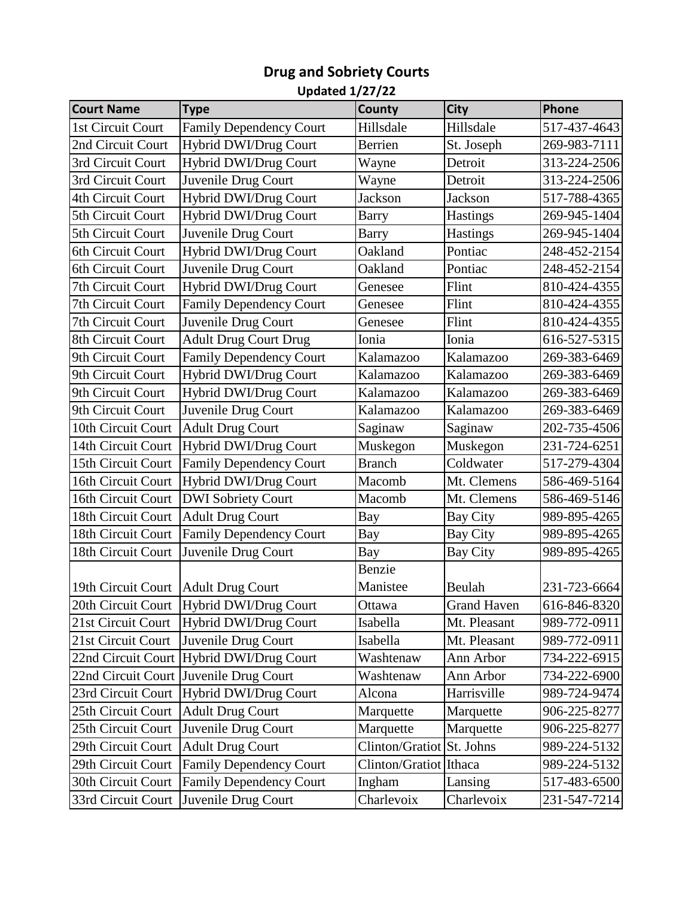## **Drug and Sobriety Courts**

## **Updated 1/27/22**

| <b>Court Name</b>  | <b>Type</b>                              | County                 | <b>City</b>        | Phone        |
|--------------------|------------------------------------------|------------------------|--------------------|--------------|
| 1st Circuit Court  | <b>Family Dependency Court</b>           | Hillsdale              | Hillsdale          | 517-437-4643 |
| 2nd Circuit Court  | Hybrid DWI/Drug Court                    | Berrien                | St. Joseph         | 269-983-7111 |
| 3rd Circuit Court  | Hybrid DWI/Drug Court                    | Wayne                  | Detroit            | 313-224-2506 |
| 3rd Circuit Court  | Juvenile Drug Court                      | Wayne                  | Detroit            | 313-224-2506 |
| 4th Circuit Court  | Hybrid DWI/Drug Court                    | <b>Jackson</b>         | <b>Jackson</b>     | 517-788-4365 |
| 5th Circuit Court  | Hybrid DWI/Drug Court                    | Barry                  | <b>Hastings</b>    | 269-945-1404 |
| 5th Circuit Court  | Juvenile Drug Court                      | <b>Barry</b>           | <b>Hastings</b>    | 269-945-1404 |
| 6th Circuit Court  | Hybrid DWI/Drug Court                    | Oakland                | Pontiac            | 248-452-2154 |
| 6th Circuit Court  | Juvenile Drug Court                      | Oakland                | Pontiac            | 248-452-2154 |
| 7th Circuit Court  | Hybrid DWI/Drug Court                    | Genesee                | Flint              | 810-424-4355 |
| 7th Circuit Court  | <b>Family Dependency Court</b>           | Genesee                | Flint              | 810-424-4355 |
| 7th Circuit Court  | Juvenile Drug Court                      | Genesee                | Flint              | 810-424-4355 |
| 8th Circuit Court  | <b>Adult Drug Court Drug</b>             | Ionia                  | Ionia              | 616-527-5315 |
| 9th Circuit Court  | Family Dependency Court                  | Kalamazoo              | Kalamazoo          | 269-383-6469 |
| 9th Circuit Court  | Hybrid DWI/Drug Court                    | Kalamazoo              | Kalamazoo          | 269-383-6469 |
| 9th Circuit Court  | Hybrid DWI/Drug Court                    | Kalamazoo              | Kalamazoo          | 269-383-6469 |
| 9th Circuit Court  | Juvenile Drug Court                      | Kalamazoo              | Kalamazoo          | 269-383-6469 |
| 10th Circuit Court | <b>Adult Drug Court</b>                  | Saginaw                | Saginaw            | 202-735-4506 |
| 14th Circuit Court | Hybrid DWI/Drug Court                    | Muskegon               | Muskegon           | 231-724-6251 |
| 15th Circuit Court | <b>Family Dependency Court</b>           | <b>Branch</b>          | Coldwater          | 517-279-4304 |
| 16th Circuit Court | Hybrid DWI/Drug Court                    | Macomb                 | Mt. Clemens        | 586-469-5164 |
| 16th Circuit Court | <b>DWI</b> Sobriety Court                | Macomb                 | Mt. Clemens        | 586-469-5146 |
| 18th Circuit Court | <b>Adult Drug Court</b>                  | Bay                    | <b>Bay City</b>    | 989-895-4265 |
| 18th Circuit Court | <b>Family Dependency Court</b>           | Bay                    | <b>Bay City</b>    | 989-895-4265 |
| 18th Circuit Court | Juvenile Drug Court                      | Bay                    | <b>Bay City</b>    | 989-895-4265 |
|                    |                                          | Benzie                 |                    |              |
| 19th Circuit Court | <b>Adult Drug Court</b>                  | Manistee               | Beulah             | 231-723-6664 |
|                    | 20th Circuit Court Hybrid DWI/Drug Court | Ottawa                 | <b>Grand Haven</b> | 616-846-8320 |
| 21st Circuit Court | <b>Hybrid DWI/Drug Court</b>             | Isabella               | Mt. Pleasant       | 989-772-0911 |
| 21st Circuit Court | Juvenile Drug Court                      | Isabella               | Mt. Pleasant       | 989-772-0911 |
| 22nd Circuit Court | Hybrid DWI/Drug Court                    | Washtenaw              | Ann Arbor          | 734-222-6915 |
| 22nd Circuit Court | Juvenile Drug Court                      | Washtenaw              | Ann Arbor          | 734-222-6900 |
| 23rd Circuit Court | Hybrid DWI/Drug Court                    | Alcona                 | Harrisville        | 989-724-9474 |
| 25th Circuit Court | <b>Adult Drug Court</b>                  | Marquette              | Marquette          | 906-225-8277 |
| 25th Circuit Court | Juvenile Drug Court                      | Marquette              | Marquette          | 906-225-8277 |
| 29th Circuit Court | <b>Adult Drug Court</b>                  | Clinton/Gratiot        | St. Johns          | 989-224-5132 |
| 29th Circuit Court | <b>Family Dependency Court</b>           | Clinton/Gratiot Ithaca |                    | 989-224-5132 |
| 30th Circuit Court | <b>Family Dependency Court</b>           | Ingham                 | Lansing            | 517-483-6500 |
| 33rd Circuit Court | Juvenile Drug Court                      | Charlevoix             | Charlevoix         | 231-547-7214 |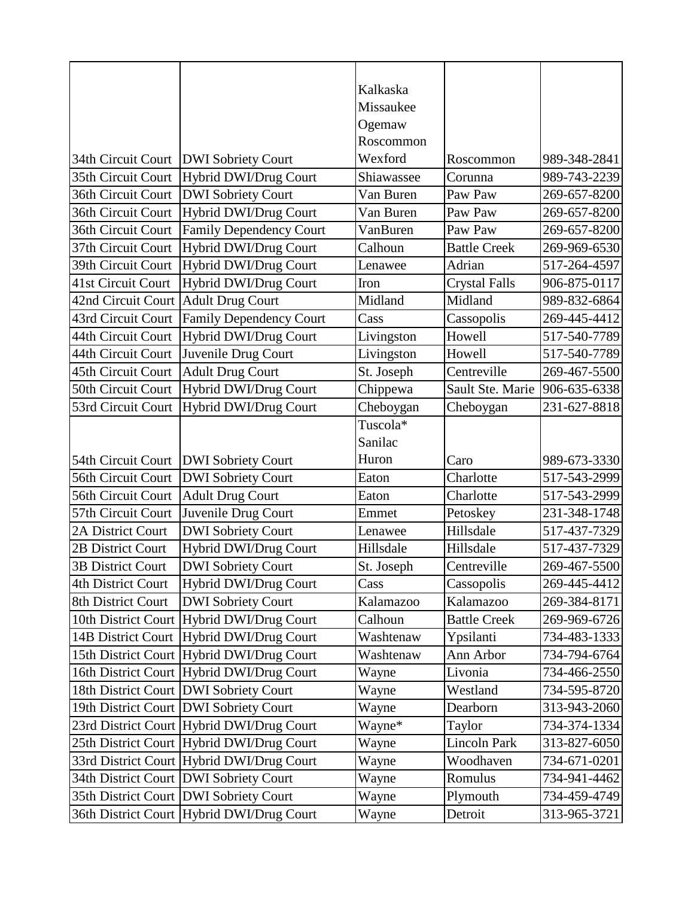|                          |                                           | Kalkaska           |                      |              |
|--------------------------|-------------------------------------------|--------------------|----------------------|--------------|
|                          |                                           | Missaukee          |                      |              |
|                          |                                           | Ogemaw             |                      |              |
|                          |                                           | Roscommon          |                      |              |
| 34th Circuit Court       | <b>DWI</b> Sobriety Court                 | Wexford            | Roscommon            | 989-348-2841 |
| 35th Circuit Court       | Hybrid DWI/Drug Court                     | Shiawassee         | Corunna              | 989-743-2239 |
| 36th Circuit Court       | <b>DWI Sobriety Court</b>                 | Van Buren          | Paw Paw              | 269-657-8200 |
| 36th Circuit Court       | Hybrid DWI/Drug Court                     | Van Buren          | Paw Paw              | 269-657-8200 |
| 36th Circuit Court       | <b>Family Dependency Court</b>            | VanBuren           | Paw Paw              | 269-657-8200 |
| 37th Circuit Court       | Hybrid DWI/Drug Court                     | Calhoun            | <b>Battle Creek</b>  | 269-969-6530 |
| 39th Circuit Court       | Hybrid DWI/Drug Court                     | Lenawee            | Adrian               | 517-264-4597 |
| 41st Circuit Court       | Hybrid DWI/Drug Court                     | Iron               | <b>Crystal Falls</b> | 906-875-0117 |
| 42nd Circuit Court       | <b>Adult Drug Court</b>                   | Midland            | Midland              | 989-832-6864 |
| 43rd Circuit Court       | <b>Family Dependency Court</b>            | Cass               | Cassopolis           | 269-445-4412 |
| 44th Circuit Court       | Hybrid DWI/Drug Court                     | Livingston         | Howell               | 517-540-7789 |
| 44th Circuit Court       | Juvenile Drug Court                       | Livingston         | Howell               | 517-540-7789 |
| 45th Circuit Court       | <b>Adult Drug Court</b>                   | St. Joseph         | Centreville          | 269-467-5500 |
| 50th Circuit Court       | Hybrid DWI/Drug Court                     | Chippewa           | Sault Ste. Marie     | 906-635-6338 |
| 53rd Circuit Court       | Hybrid DWI/Drug Court                     | Cheboygan          | Cheboygan            | 231-627-8818 |
|                          |                                           | Tuscola*           |                      |              |
|                          |                                           | Sanilac            |                      |              |
|                          |                                           |                    |                      |              |
| 54th Circuit Court       | <b>DWI</b> Sobriety Court                 | Huron              | Caro                 | 989-673-3330 |
| 56th Circuit Court       | <b>DWI Sobriety Court</b>                 | Eaton              | Charlotte            | 517-543-2999 |
| 56th Circuit Court       | <b>Adult Drug Court</b>                   | Eaton              | Charlotte            | 517-543-2999 |
| 57th Circuit Court       | Juvenile Drug Court                       | Emmet              | Petoskey             | 231-348-1748 |
| 2A District Court        | <b>DWI</b> Sobriety Court                 | Lenawee            | Hillsdale            | 517-437-7329 |
| 2B District Court        | Hybrid DWI/Drug Court                     | Hillsdale          | Hillsdale            | 517-437-7329 |
| <b>3B District Court</b> | <b>DWI Sobriety Court</b>                 |                    | Centreville          | 269-467-5500 |
| 4th District Court       | Hybrid DWI/Drug Court                     | St. Joseph<br>Cass | Cassopolis           | 269-445-4412 |
| 8th District Court       | <b>DWI</b> Sobriety Court                 | Kalamazoo          | Kalamazoo            | 269-384-8171 |
| 10th District Court      | Hybrid DWI/Drug Court                     | Calhoun            | <b>Battle Creek</b>  | 269-969-6726 |
| 14B District Court       | Hybrid DWI/Drug Court                     | Washtenaw          | Ypsilanti            | 734-483-1333 |
|                          | 15th District Court Hybrid DWI/Drug Court | Washtenaw          | Ann Arbor            | 734-794-6764 |
|                          | 16th District Court Hybrid DWI/Drug Court | Wayne              | Livonia              | 734-466-2550 |
|                          | 18th District Court DWI Sobriety Court    | Wayne              | Westland             | 734-595-8720 |
|                          | 19th District Court DWI Sobriety Court    | Wayne              | Dearborn             | 313-943-2060 |
|                          | 23rd District Court Hybrid DWI/Drug Court | Wayne*             | Taylor               | 734-374-1334 |
|                          | 25th District Court Hybrid DWI/Drug Court | Wayne              | <b>Lincoln Park</b>  | 313-827-6050 |
|                          | 33rd District Court Hybrid DWI/Drug Court | Wayne              | Woodhaven            | 734-671-0201 |
|                          | 34th District Court DWI Sobriety Court    | Wayne              | Romulus              | 734-941-4462 |
|                          | 35th District Court DWI Sobriety Court    | Wayne              | Plymouth             | 734-459-4749 |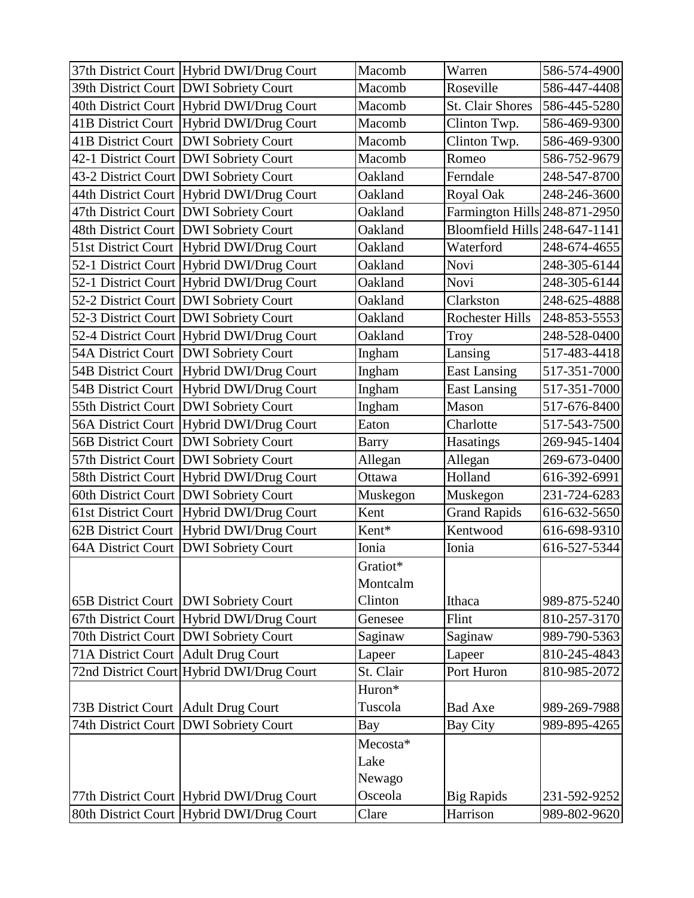|                                       | 37th District Court Hybrid DWI/Drug Court | Macomb       | Warren                        | 586-574-4900 |
|---------------------------------------|-------------------------------------------|--------------|-------------------------------|--------------|
|                                       | 39th District Court DWI Sobriety Court    | Macomb       | Roseville                     | 586-447-4408 |
|                                       | 40th District Court Hybrid DWI/Drug Court | Macomb       | <b>St. Clair Shores</b>       | 586-445-5280 |
|                                       | 41B District Court Hybrid DWI/Drug Court  | Macomb       | Clinton Twp.                  | 586-469-9300 |
|                                       | 41B District Court   DWI Sobriety Court   | Macomb       | Clinton Twp.                  | 586-469-9300 |
|                                       | 42-1 District Court DWI Sobriety Court    | Macomb       | Romeo                         | 586-752-9679 |
|                                       | 43-2 District Court   DWI Sobriety Court  | Oakland      | Ferndale                      | 248-547-8700 |
|                                       | 44th District Court Hybrid DWI/Drug Court | Oakland      | Royal Oak                     | 248-246-3600 |
|                                       | 47th District Court DWI Sobriety Court    | Oakland      | Farmington Hills 248-871-2950 |              |
|                                       | 48th District Court   DWI Sobriety Court  | Oakland      | Bloomfield Hills 248-647-1141 |              |
|                                       | 51st District Court Hybrid DWI/Drug Court | Oakland      | Waterford                     | 248-674-4655 |
|                                       | 52-1 District Court Hybrid DWI/Drug Court | Oakland      | Novi                          | 248-305-6144 |
|                                       | 52-1 District Court Hybrid DWI/Drug Court | Oakland      | Novi                          | 248-305-6144 |
|                                       | 52-2 District Court DWI Sobriety Court    | Oakland      | Clarkston                     | 248-625-4888 |
|                                       | 52-3 District Court DWI Sobriety Court    | Oakland      | <b>Rochester Hills</b>        | 248-853-5553 |
|                                       | 52-4 District Court Hybrid DWI/Drug Court | Oakland      | <b>Troy</b>                   | 248-528-0400 |
|                                       | 54A District Court   DWI Sobriety Court   | Ingham       | Lansing                       | 517-483-4418 |
|                                       | 54B District Court Hybrid DWI/Drug Court  | Ingham       | <b>East Lansing</b>           | 517-351-7000 |
|                                       | 54B District Court Hybrid DWI/Drug Court  | Ingham       | <b>East Lansing</b>           | 517-351-7000 |
|                                       | 55th District Court DWI Sobriety Court    | Ingham       | Mason                         | 517-676-8400 |
|                                       | 56A District Court Hybrid DWI/Drug Court  | Eaton        | Charlotte                     | 517-543-7500 |
| 56B District Court                    | <b>DWI</b> Sobriety Court                 | <b>Barry</b> | Hasatings                     | 269-945-1404 |
|                                       | 57th District Court   DWI Sobriety Court  | Allegan      | Allegan                       | 269-673-0400 |
|                                       | 58th District Court Hybrid DWI/Drug Court | Ottawa       | Holland                       | 616-392-6991 |
|                                       | 60th District Court DWI Sobriety Court    | Muskegon     | Muskegon                      | 231-724-6283 |
| <b>61st District Court</b>            | Hybrid DWI/Drug Court                     | Kent         | <b>Grand Rapids</b>           | 616-632-5650 |
| 62B District Court                    | Hybrid DWI/Drug Court                     | Kent*        | Kentwood                      | 616-698-9310 |
| <b>64A District Court</b>             | <b>DWI Sobriety Court</b>                 | Ionia        | Ionia                         | 616-527-5344 |
|                                       |                                           | Gratiot*     |                               |              |
|                                       |                                           | Montcalm     |                               |              |
|                                       | 65B District Court   DWI Sobriety Court   | Clinton      | Ithaca                        | 989-875-5240 |
|                                       | 67th District Court Hybrid DWI/Drug Court | Genesee      | Flint                         | 810-257-3170 |
|                                       | 70th District Court DWI Sobriety Court    | Saginaw      | Saginaw                       | 989-790-5363 |
| 71A District Court Adult Drug Court   |                                           | Lapeer       | Lapeer                        | 810-245-4843 |
|                                       | 72nd District Court Hybrid DWI/Drug Court | St. Clair    | Port Huron                    | 810-985-2072 |
|                                       |                                           | Huron*       |                               |              |
| 73B District Court   Adult Drug Court |                                           | Tuscola      | <b>Bad Axe</b>                | 989-269-7988 |
|                                       | 74th District Court DWI Sobriety Court    | Bay          | <b>Bay City</b>               | 989-895-4265 |
|                                       |                                           | Mecosta*     |                               |              |
|                                       |                                           | Lake         |                               |              |
|                                       |                                           | Newago       |                               |              |
|                                       | 77th District Court Hybrid DWI/Drug Court | Osceola      | <b>Big Rapids</b>             | 231-592-9252 |
|                                       | 80th District Court Hybrid DWI/Drug Court | Clare        | Harrison                      | 989-802-9620 |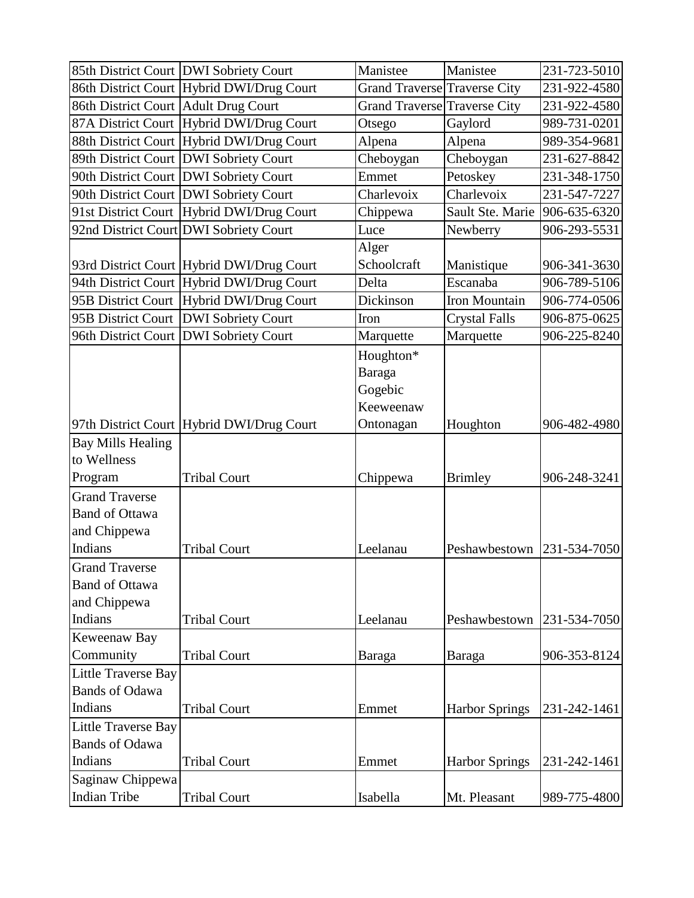| Manistee<br>85th District Court DWI Sobriety Court<br>Manistee<br>86th District Court Hybrid DWI/Drug Court<br><b>Grand Traverse Traverse City</b><br>86th District Court Adult Drug Court<br><b>Grand Traverse Traverse City</b><br>87A District Court Hybrid DWI/Drug Court<br>Gaylord<br>Otsego<br>88th District Court Hybrid DWI/Drug Court<br>Alpena<br>Alpena<br>89th District Court   DWI Sobriety Court<br>Cheboygan<br>Cheboygan<br>90th District Court DWI Sobriety Court<br>Petoskey<br>Emmet<br>90th District Court   DWI Sobriety Court<br>Charlevoix<br>Charlevoix<br>91st District Court Hybrid DWI/Drug Court<br>Sault Ste. Marie<br>Chippewa<br>92nd District Court DWI Sobriety Court<br>Newberry<br>Luce<br>Alger<br>Schoolcraft<br>93rd District Court Hybrid DWI/Drug Court<br>Manistique<br>94th District Court Hybrid DWI/Drug Court<br>Escanaba<br>Delta<br>95B District Court Hybrid DWI/Drug Court<br>Dickinson<br>Iron Mountain<br><b>DWI</b> Sobriety Court<br><b>Crystal Falls</b><br>95B District Court<br>Iron<br><b>DWI</b> Sobriety Court<br>Marquette<br>96th District Court<br>Marquette<br>Houghton*<br>Baraga<br>Gogebic<br>Keeweenaw<br>97th District Court Hybrid DWI/Drug Court<br>Ontonagan<br>Houghton<br><b>Bay Mills Healing</b><br>to Wellness<br>Program<br><b>Tribal Court</b><br><b>Brimley</b><br>Chippewa<br><b>Grand Traverse</b><br><b>Band of Ottawa</b><br>and Chippewa<br>Indians<br><b>Tribal Court</b><br>Leelanau<br>Peshawbestown | 231-723-5010<br>231-922-4580<br>231-922-4580<br>989-731-0201<br>989-354-9681<br>231-627-8842<br>231-348-1750<br>231-547-7227<br>906-635-6320<br>906-293-5531<br>906-341-3630<br>906-789-5106<br>906-774-0506<br>906-875-0625 |
|----------------------------------------------------------------------------------------------------------------------------------------------------------------------------------------------------------------------------------------------------------------------------------------------------------------------------------------------------------------------------------------------------------------------------------------------------------------------------------------------------------------------------------------------------------------------------------------------------------------------------------------------------------------------------------------------------------------------------------------------------------------------------------------------------------------------------------------------------------------------------------------------------------------------------------------------------------------------------------------------------------------------------------------------------------------------------------------------------------------------------------------------------------------------------------------------------------------------------------------------------------------------------------------------------------------------------------------------------------------------------------------------------------------------------------------------------------------------------------------------|------------------------------------------------------------------------------------------------------------------------------------------------------------------------------------------------------------------------------|
|                                                                                                                                                                                                                                                                                                                                                                                                                                                                                                                                                                                                                                                                                                                                                                                                                                                                                                                                                                                                                                                                                                                                                                                                                                                                                                                                                                                                                                                                                              |                                                                                                                                                                                                                              |
|                                                                                                                                                                                                                                                                                                                                                                                                                                                                                                                                                                                                                                                                                                                                                                                                                                                                                                                                                                                                                                                                                                                                                                                                                                                                                                                                                                                                                                                                                              |                                                                                                                                                                                                                              |
|                                                                                                                                                                                                                                                                                                                                                                                                                                                                                                                                                                                                                                                                                                                                                                                                                                                                                                                                                                                                                                                                                                                                                                                                                                                                                                                                                                                                                                                                                              |                                                                                                                                                                                                                              |
|                                                                                                                                                                                                                                                                                                                                                                                                                                                                                                                                                                                                                                                                                                                                                                                                                                                                                                                                                                                                                                                                                                                                                                                                                                                                                                                                                                                                                                                                                              |                                                                                                                                                                                                                              |
|                                                                                                                                                                                                                                                                                                                                                                                                                                                                                                                                                                                                                                                                                                                                                                                                                                                                                                                                                                                                                                                                                                                                                                                                                                                                                                                                                                                                                                                                                              |                                                                                                                                                                                                                              |
|                                                                                                                                                                                                                                                                                                                                                                                                                                                                                                                                                                                                                                                                                                                                                                                                                                                                                                                                                                                                                                                                                                                                                                                                                                                                                                                                                                                                                                                                                              |                                                                                                                                                                                                                              |
|                                                                                                                                                                                                                                                                                                                                                                                                                                                                                                                                                                                                                                                                                                                                                                                                                                                                                                                                                                                                                                                                                                                                                                                                                                                                                                                                                                                                                                                                                              |                                                                                                                                                                                                                              |
|                                                                                                                                                                                                                                                                                                                                                                                                                                                                                                                                                                                                                                                                                                                                                                                                                                                                                                                                                                                                                                                                                                                                                                                                                                                                                                                                                                                                                                                                                              |                                                                                                                                                                                                                              |
|                                                                                                                                                                                                                                                                                                                                                                                                                                                                                                                                                                                                                                                                                                                                                                                                                                                                                                                                                                                                                                                                                                                                                                                                                                                                                                                                                                                                                                                                                              |                                                                                                                                                                                                                              |
|                                                                                                                                                                                                                                                                                                                                                                                                                                                                                                                                                                                                                                                                                                                                                                                                                                                                                                                                                                                                                                                                                                                                                                                                                                                                                                                                                                                                                                                                                              |                                                                                                                                                                                                                              |
|                                                                                                                                                                                                                                                                                                                                                                                                                                                                                                                                                                                                                                                                                                                                                                                                                                                                                                                                                                                                                                                                                                                                                                                                                                                                                                                                                                                                                                                                                              |                                                                                                                                                                                                                              |
|                                                                                                                                                                                                                                                                                                                                                                                                                                                                                                                                                                                                                                                                                                                                                                                                                                                                                                                                                                                                                                                                                                                                                                                                                                                                                                                                                                                                                                                                                              |                                                                                                                                                                                                                              |
|                                                                                                                                                                                                                                                                                                                                                                                                                                                                                                                                                                                                                                                                                                                                                                                                                                                                                                                                                                                                                                                                                                                                                                                                                                                                                                                                                                                                                                                                                              |                                                                                                                                                                                                                              |
|                                                                                                                                                                                                                                                                                                                                                                                                                                                                                                                                                                                                                                                                                                                                                                                                                                                                                                                                                                                                                                                                                                                                                                                                                                                                                                                                                                                                                                                                                              |                                                                                                                                                                                                                              |
|                                                                                                                                                                                                                                                                                                                                                                                                                                                                                                                                                                                                                                                                                                                                                                                                                                                                                                                                                                                                                                                                                                                                                                                                                                                                                                                                                                                                                                                                                              |                                                                                                                                                                                                                              |
|                                                                                                                                                                                                                                                                                                                                                                                                                                                                                                                                                                                                                                                                                                                                                                                                                                                                                                                                                                                                                                                                                                                                                                                                                                                                                                                                                                                                                                                                                              | 906-225-8240                                                                                                                                                                                                                 |
|                                                                                                                                                                                                                                                                                                                                                                                                                                                                                                                                                                                                                                                                                                                                                                                                                                                                                                                                                                                                                                                                                                                                                                                                                                                                                                                                                                                                                                                                                              |                                                                                                                                                                                                                              |
|                                                                                                                                                                                                                                                                                                                                                                                                                                                                                                                                                                                                                                                                                                                                                                                                                                                                                                                                                                                                                                                                                                                                                                                                                                                                                                                                                                                                                                                                                              |                                                                                                                                                                                                                              |
|                                                                                                                                                                                                                                                                                                                                                                                                                                                                                                                                                                                                                                                                                                                                                                                                                                                                                                                                                                                                                                                                                                                                                                                                                                                                                                                                                                                                                                                                                              |                                                                                                                                                                                                                              |
|                                                                                                                                                                                                                                                                                                                                                                                                                                                                                                                                                                                                                                                                                                                                                                                                                                                                                                                                                                                                                                                                                                                                                                                                                                                                                                                                                                                                                                                                                              |                                                                                                                                                                                                                              |
|                                                                                                                                                                                                                                                                                                                                                                                                                                                                                                                                                                                                                                                                                                                                                                                                                                                                                                                                                                                                                                                                                                                                                                                                                                                                                                                                                                                                                                                                                              | 906-482-4980                                                                                                                                                                                                                 |
|                                                                                                                                                                                                                                                                                                                                                                                                                                                                                                                                                                                                                                                                                                                                                                                                                                                                                                                                                                                                                                                                                                                                                                                                                                                                                                                                                                                                                                                                                              |                                                                                                                                                                                                                              |
|                                                                                                                                                                                                                                                                                                                                                                                                                                                                                                                                                                                                                                                                                                                                                                                                                                                                                                                                                                                                                                                                                                                                                                                                                                                                                                                                                                                                                                                                                              |                                                                                                                                                                                                                              |
|                                                                                                                                                                                                                                                                                                                                                                                                                                                                                                                                                                                                                                                                                                                                                                                                                                                                                                                                                                                                                                                                                                                                                                                                                                                                                                                                                                                                                                                                                              | 906-248-3241                                                                                                                                                                                                                 |
|                                                                                                                                                                                                                                                                                                                                                                                                                                                                                                                                                                                                                                                                                                                                                                                                                                                                                                                                                                                                                                                                                                                                                                                                                                                                                                                                                                                                                                                                                              |                                                                                                                                                                                                                              |
|                                                                                                                                                                                                                                                                                                                                                                                                                                                                                                                                                                                                                                                                                                                                                                                                                                                                                                                                                                                                                                                                                                                                                                                                                                                                                                                                                                                                                                                                                              |                                                                                                                                                                                                                              |
|                                                                                                                                                                                                                                                                                                                                                                                                                                                                                                                                                                                                                                                                                                                                                                                                                                                                                                                                                                                                                                                                                                                                                                                                                                                                                                                                                                                                                                                                                              |                                                                                                                                                                                                                              |
|                                                                                                                                                                                                                                                                                                                                                                                                                                                                                                                                                                                                                                                                                                                                                                                                                                                                                                                                                                                                                                                                                                                                                                                                                                                                                                                                                                                                                                                                                              | 231-534-7050                                                                                                                                                                                                                 |
| <b>Grand Traverse</b>                                                                                                                                                                                                                                                                                                                                                                                                                                                                                                                                                                                                                                                                                                                                                                                                                                                                                                                                                                                                                                                                                                                                                                                                                                                                                                                                                                                                                                                                        |                                                                                                                                                                                                                              |
| <b>Band of Ottawa</b>                                                                                                                                                                                                                                                                                                                                                                                                                                                                                                                                                                                                                                                                                                                                                                                                                                                                                                                                                                                                                                                                                                                                                                                                                                                                                                                                                                                                                                                                        |                                                                                                                                                                                                                              |
| and Chippewa                                                                                                                                                                                                                                                                                                                                                                                                                                                                                                                                                                                                                                                                                                                                                                                                                                                                                                                                                                                                                                                                                                                                                                                                                                                                                                                                                                                                                                                                                 |                                                                                                                                                                                                                              |
| Indians<br><b>Tribal Court</b><br>Leelanau<br>Peshawbestown                                                                                                                                                                                                                                                                                                                                                                                                                                                                                                                                                                                                                                                                                                                                                                                                                                                                                                                                                                                                                                                                                                                                                                                                                                                                                                                                                                                                                                  | 231-534-7050                                                                                                                                                                                                                 |
| Keweenaw Bay                                                                                                                                                                                                                                                                                                                                                                                                                                                                                                                                                                                                                                                                                                                                                                                                                                                                                                                                                                                                                                                                                                                                                                                                                                                                                                                                                                                                                                                                                 |                                                                                                                                                                                                                              |
| Community<br><b>Tribal Court</b><br><b>Baraga</b><br>Baraga                                                                                                                                                                                                                                                                                                                                                                                                                                                                                                                                                                                                                                                                                                                                                                                                                                                                                                                                                                                                                                                                                                                                                                                                                                                                                                                                                                                                                                  | 906-353-8124                                                                                                                                                                                                                 |
| Little Traverse Bay                                                                                                                                                                                                                                                                                                                                                                                                                                                                                                                                                                                                                                                                                                                                                                                                                                                                                                                                                                                                                                                                                                                                                                                                                                                                                                                                                                                                                                                                          |                                                                                                                                                                                                                              |
| <b>Bands of Odawa</b>                                                                                                                                                                                                                                                                                                                                                                                                                                                                                                                                                                                                                                                                                                                                                                                                                                                                                                                                                                                                                                                                                                                                                                                                                                                                                                                                                                                                                                                                        |                                                                                                                                                                                                                              |
| Indians<br><b>Tribal Court</b><br><b>Harbor Springs</b><br>Emmet                                                                                                                                                                                                                                                                                                                                                                                                                                                                                                                                                                                                                                                                                                                                                                                                                                                                                                                                                                                                                                                                                                                                                                                                                                                                                                                                                                                                                             |                                                                                                                                                                                                                              |
| Little Traverse Bay                                                                                                                                                                                                                                                                                                                                                                                                                                                                                                                                                                                                                                                                                                                                                                                                                                                                                                                                                                                                                                                                                                                                                                                                                                                                                                                                                                                                                                                                          | 231-242-1461                                                                                                                                                                                                                 |
| <b>Bands of Odawa</b>                                                                                                                                                                                                                                                                                                                                                                                                                                                                                                                                                                                                                                                                                                                                                                                                                                                                                                                                                                                                                                                                                                                                                                                                                                                                                                                                                                                                                                                                        |                                                                                                                                                                                                                              |
| Indians<br><b>Tribal Court</b><br><b>Harbor Springs</b><br>Emmet                                                                                                                                                                                                                                                                                                                                                                                                                                                                                                                                                                                                                                                                                                                                                                                                                                                                                                                                                                                                                                                                                                                                                                                                                                                                                                                                                                                                                             |                                                                                                                                                                                                                              |
| Saginaw Chippewa                                                                                                                                                                                                                                                                                                                                                                                                                                                                                                                                                                                                                                                                                                                                                                                                                                                                                                                                                                                                                                                                                                                                                                                                                                                                                                                                                                                                                                                                             | 231-242-1461                                                                                                                                                                                                                 |
| <b>Indian Tribe</b><br>Isabella<br><b>Tribal Court</b><br>Mt. Pleasant<br>989-775-4800                                                                                                                                                                                                                                                                                                                                                                                                                                                                                                                                                                                                                                                                                                                                                                                                                                                                                                                                                                                                                                                                                                                                                                                                                                                                                                                                                                                                       |                                                                                                                                                                                                                              |